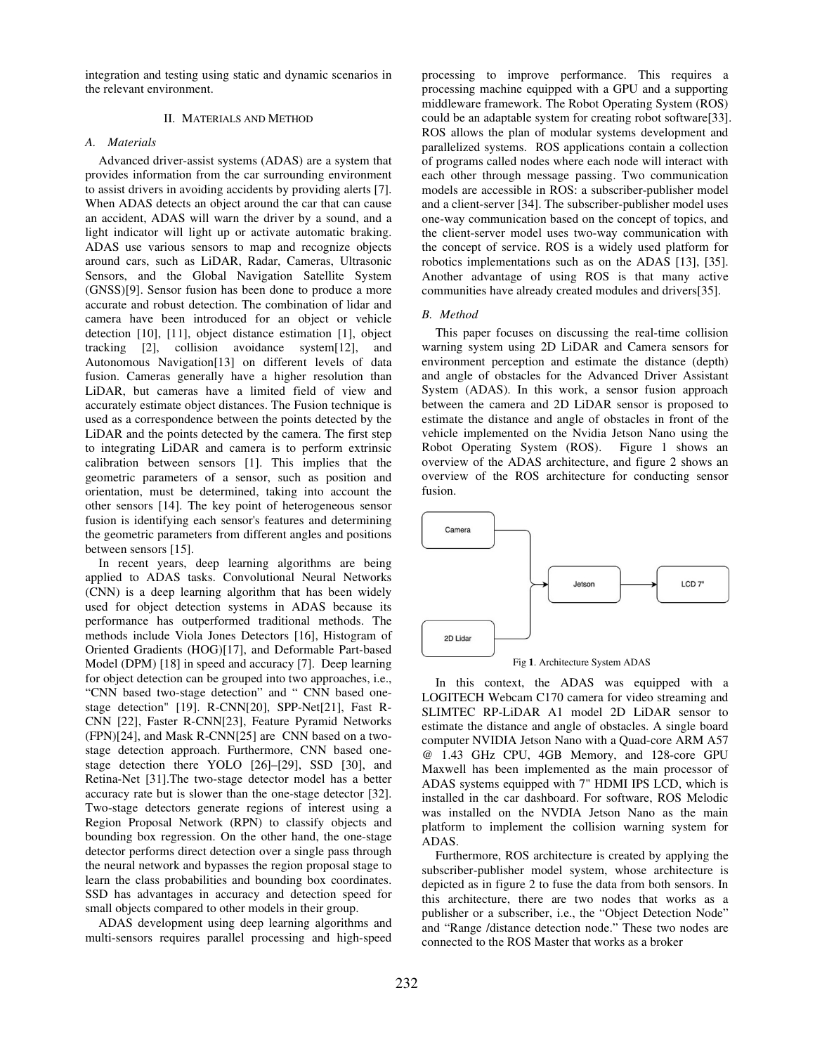integration and testing using static and dynamic scenarios in the relevant environment.

### II. MATERIALS AND METHOD

### *A. Materials*

Advanced driver-assist systems (ADAS) are a system that provides information from the car surrounding environment to assist drivers in avoiding accidents by providing alerts [7]. When ADAS detects an object around the car that can cause an accident, ADAS will warn the driver by a sound, and a light indicator will light up or activate automatic braking. ADAS use various sensors to map and recognize objects around cars, such as LiDAR, Radar, Cameras, Ultrasonic Sensors, and the Global Navigation Satellite System (GNSS)[9]. Sensor fusion has been done to produce a more accurate and robust detection. The combination of lidar and camera have been introduced for an object or vehicle detection [10], [11], object distance estimation [1], object tracking [2], collision avoidance system[12], and Autonomous Navigation[13] on different levels of data fusion. Cameras generally have a higher resolution than LiDAR, but cameras have a limited field of view and accurately estimate object distances. The Fusion technique is used as a correspondence between the points detected by the LiDAR and the points detected by the camera. The first step to integrating LiDAR and camera is to perform extrinsic calibration between sensors [1]. This implies that the geometric parameters of a sensor, such as position and orientation, must be determined, taking into account the other sensors [14]. The key point of heterogeneous sensor fusion is identifying each sensor's features and determining the geometric parameters from different angles and positions between sensors [15].

In recent years, deep learning algorithms are being applied to ADAS tasks. Convolutional Neural Networks (CNN) is a deep learning algorithm that has been widely used for object detection systems in ADAS because its performance has outperformed traditional methods. The methods include Viola Jones Detectors [16], Histogram of Oriented Gradients (HOG)[17], and Deformable Part-based Model (DPM) [18] in speed and accuracy [7]. Deep learning for object detection can be grouped into two approaches, i.e., "CNN based two-stage detection" and " CNN based onestage detection" [19]. R-CNN[20], SPP-Net[21], Fast R-CNN [22], Faster R-CNN[23], Feature Pyramid Networks (FPN)[24], and Mask R-CNN[25] are CNN based on a twostage detection approach. Furthermore, CNN based onestage detection there YOLO [26]–[29], SSD [30], and Retina-Net [31].The two-stage detector model has a better accuracy rate but is slower than the one-stage detector [32]. Two-stage detectors generate regions of interest using a Region Proposal Network (RPN) to classify objects and bounding box regression. On the other hand, the one-stage detector performs direct detection over a single pass through the neural network and bypasses the region proposal stage to learn the class probabilities and bounding box coordinates. SSD has advantages in accuracy and detection speed for small objects compared to other models in their group.

ADAS development using deep learning algorithms and multi-sensors requires parallel processing and high-speed

processing to improve performance. This requires a processing machine equipped with a GPU and a supporting middleware framework. The Robot Operating System (ROS) could be an adaptable system for creating robot software[33]. ROS allows the plan of modular systems development and parallelized systems. ROS applications contain a collection of programs called nodes where each node will interact with each other through message passing. Two communication models are accessible in ROS: a subscriber-publisher model and a client-server [34]. The subscriber-publisher model uses one-way communication based on the concept of topics, and the client-server model uses two-way communication with the concept of service. ROS is a widely used platform for robotics implementations such as on the ADAS [13], [35]. Another advantage of using ROS is that many active communities have already created modules and drivers[35].

## *B. Method*

This paper focuses on discussing the real-time collision warning system using 2D LiDAR and Camera sensors for environment perception and estimate the distance (depth) and angle of obstacles for the Advanced Driver Assistant System (ADAS). In this work, a sensor fusion approach between the camera and 2D LiDAR sensor is proposed to estimate the distance and angle of obstacles in front of the vehicle implemented on the Nvidia Jetson Nano using the Robot Operating System (ROS). Figure 1 shows an overview of the ADAS architecture, and figure 2 shows an overview of the ROS architecture for conducting sensor fusion.





In this context, the ADAS was equipped with a LOGITECH Webcam C170 camera for video streaming and SLIMTEC RP-LiDAR A1 model 2D LiDAR sensor to estimate the distance and angle of obstacles. A single board computer NVIDIA Jetson Nano with a Quad-core ARM A57 @ 1.43 GHz CPU, 4GB Memory, and 128-core GPU Maxwell has been implemented as the main processor of ADAS systems equipped with 7" HDMI IPS LCD, which is installed in the car dashboard. For software, ROS Melodic was installed on the NVDIA Jetson Nano as the main platform to implement the collision warning system for ADAS.

Furthermore, ROS architecture is created by applying the subscriber-publisher model system, whose architecture is depicted as in figure 2 to fuse the data from both sensors. In this architecture, there are two nodes that works as a publisher or a subscriber, i.e., the "Object Detection Node" and "Range /distance detection node." These two nodes are connected to the ROS Master that works as a broker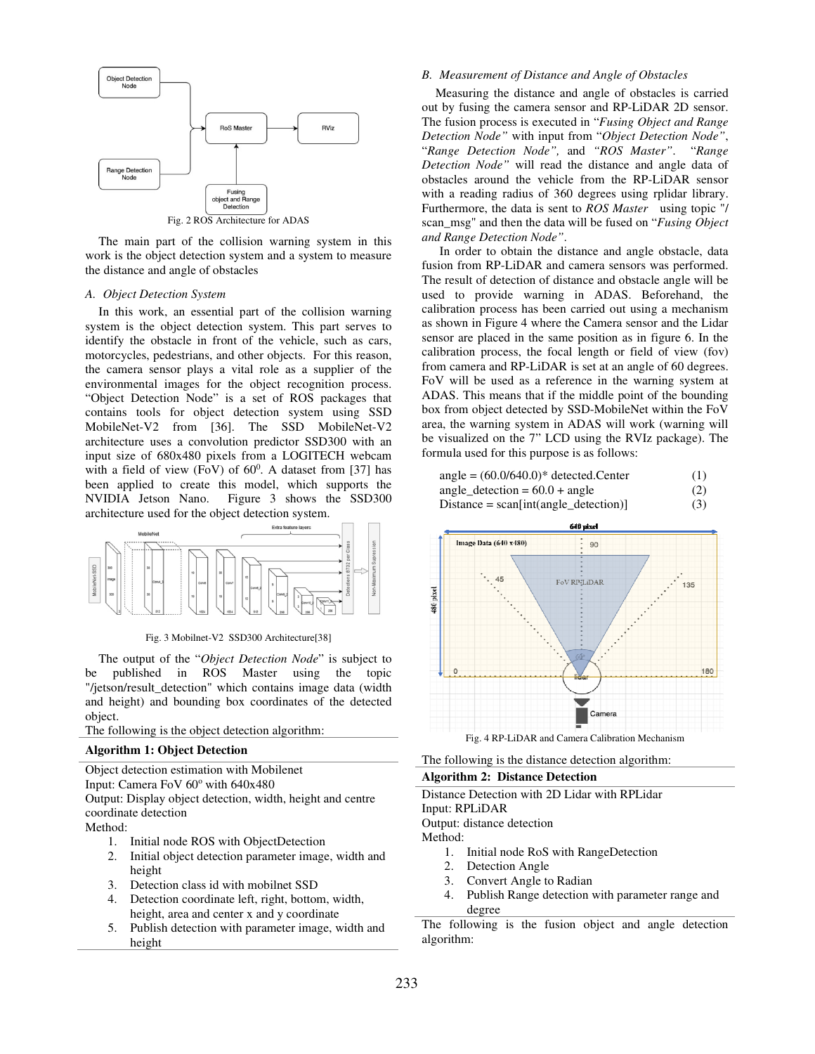

The main part of the collision warning system in this work is the object detection system and a system to measure the distance and angle of obstacles

### *A. Object Detection System*

In this work, an essential part of the collision warning system is the object detection system. This part serves to identify the obstacle in front of the vehicle, such as cars, motorcycles, pedestrians, and other objects. For this reason, the camera sensor plays a vital role as a supplier of the environmental images for the object recognition process. "Object Detection Node" is a set of ROS packages that contains tools for object detection system using SSD MobileNet-V2 from [36]. The SSD MobileNet-V2 architecture uses a convolution predictor SSD300 with an input size of 680x480 pixels from a LOGITECH webcam with a field of view (FoV) of  $60^0$ . A dataset from [37] has been applied to create this model, which supports the NVIDIA Jetson Nano. Figure 3 shows the SSD300 architecture used for the object detection system.



Fig. 3 Mobilnet-V2 SSD300 Architecture[38]

The output of the "*Object Detection Node*" is subject to be published in ROS Master using the topic "/jetson/result\_detection" which contains image data (width and height) and bounding box coordinates of the detected object.

The following is the object detection algorithm:

## **Algorithm 1: Object Detection**

Object detection estimation with Mobilenet Input: Camera FoV 60° with 640x480 Output: Display object detection, width, height and centre coordinate detection Method<sup>.</sup>

- 1. Initial node ROS with ObjectDetection
- 2. Initial object detection parameter image, width and height
- 3. Detection class id with mobilnet SSD
- 4. Detection coordinate left, right, bottom, width, height, area and center x and y coordinate
- 5. Publish detection with parameter image, width and height

## *B. Measurement of Distance and Angle of Obstacles*

Measuring the distance and angle of obstacles is carried out by fusing the camera sensor and RP-LiDAR 2D sensor. The fusion process is executed in "*Fusing Object and Range Detection Node"* with input from "*Object Detection Node"*, "*Range Detection Node",* and *"ROS Master"*. "*Range Detection Node"* will read the distance and angle data of obstacles around the vehicle from the RP-LiDAR sensor with a reading radius of 360 degrees using rplidar library. Furthermore, the data is sent to *ROS Master* using topic "/ scan\_msg" and then the data will be fused on "*Fusing Object and Range Detection Node"*.

In order to obtain the distance and angle obstacle, data fusion from RP-LiDAR and camera sensors was performed. The result of detection of distance and obstacle angle will be used to provide warning in ADAS. Beforehand, the calibration process has been carried out using a mechanism as shown in Figure 4 where the Camera sensor and the Lidar sensor are placed in the same position as in figure 6. In the calibration process, the focal length or field of view (fov) from camera and RP-LiDAR is set at an angle of 60 degrees. FoV will be used as a reference in the warning system at ADAS. This means that if the middle point of the bounding box from object detected by SSD-MobileNet within the FoV area, the warning system in ADAS will work (warning will be visualized on the 7" LCD using the RVIz package). The formula used for this purpose is as follows:

| angle = $(60.0/640.0)$ <sup>*</sup> detected. Center | (1) |
|------------------------------------------------------|-----|
| angle_detection = $60.0 + angle$                     | (2) |
| $Distance = scan(int(\text{angle\_detection})]$      | (3) |



Fig. 4 RP-LiDAR and Camera Calibration Mechanism

The following is the distance detection algorithm:

## **Algorithm 2: Distance Detection**

Distance Detection with 2D Lidar with RPLidar Input: RPLiDAR

Output: distance detection

Method:

- 1. Initial node RoS with RangeDetection
- 2. Detection Angle
- 3. Convert Angle to Radian
- 4. Publish Range detection with parameter range and degree

The following is the fusion object and angle detection algorithm: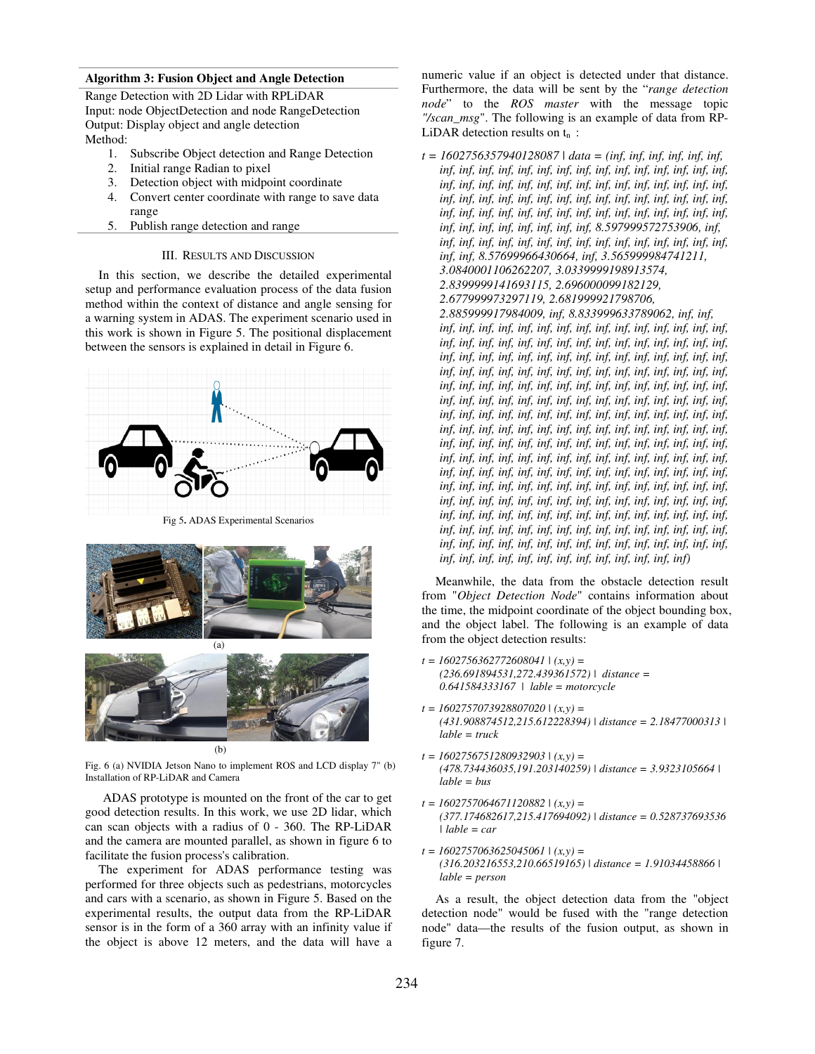## **Algorithm 3: Fusion Object and Angle Detection**

Range Detection with 2D Lidar with RPLiDAR Input: node ObjectDetection and node RangeDetection Output: Display object and angle detection Method:

- 1. Subscribe Object detection and Range Detection
- 2. Initial range Radian to pixel
- 3. Detection object with midpoint coordinate
- 4. Convert center coordinate with range to save data range
- 5. Publish range detection and range

# III. RESULTS AND DISCUSSION

In this section, we describe the detailed experimental setup and performance evaluation process of the data fusion method within the context of distance and angle sensing for a warning system in ADAS. The experiment scenario used in this work is shown in Figure 5. The positional displacement between the sensors is explained in detail in Figure 6.



Fig 5**.** ADAS Experimental Scenarios



Fig. 6 (a) NVIDIA Jetson Nano to implement ROS and LCD display 7" (b) Installation of RP-LiDAR and Camera

ADAS prototype is mounted on the front of the car to get good detection results. In this work, we use 2D lidar, which can scan objects with a radius of 0 - 360. The RP-LiDAR and the camera are mounted parallel, as shown in figure 6 to facilitate the fusion process's calibration.

The experiment for ADAS performance testing was performed for three objects such as pedestrians, motorcycles and cars with a scenario, as shown in Figure 5. Based on the experimental results, the output data from the RP-LiDAR sensor is in the form of a 360 array with an infinity value if the object is above 12 meters, and the data will have a numeric value if an object is detected under that distance. Furthermore, the data will be sent by the "*range detection node*" to the *ROS master* with the message topic *"/scan\_msg*". The following is an example of data from RP-LiDAR detection results on  $t_n$ :

*t = 1602756357940128087 | data = (inf, inf, inf, inf, inf, inf, inf, inf, inf, inf, inf, inf, inf, inf, inf, inf, inf, inf, inf, inf, inf, inf, inf, inf, inf, inf, inf, inf, inf, inf, inf, inf, inf, inf, inf, inf, inf, inf, inf, inf, inf, inf, inf, inf, inf, inf, inf, inf, inf, inf, inf, inf, inf, inf, inf, inf, inf, inf, inf, inf, inf, inf, inf, inf, inf, inf, inf, inf, inf, inf, inf, inf, inf, inf, 8.597999572753906, inf, inf, inf, inf, inf, inf, inf, inf, inf, inf, inf, inf, inf, inf, inf, inf, inf, inf, 8.57699966430664, inf, 3.565999984741211, 3.0840001106262207, 3.0339999198913574, 2.8399999141693115, 2.696000099182129, 2.677999973297119, 2.681999921798706, 2.885999917984009, inf, 8.833999633789062, inf, inf, inf, inf, inf, inf, inf, inf, inf, inf, inf, inf, inf, inf, inf, inf, inf, inf, inf, inf, inf, inf, inf, inf, inf, inf, inf, inf, inf, inf, inf, inf, inf, inf, inf, inf, inf, inf, inf, inf, inf, inf, inf, inf, inf, inf, inf, inf, inf, inf, inf, inf, inf, inf, inf, inf, inf, inf, inf, inf, inf, inf, inf, inf, inf, inf, inf, inf, inf, inf, inf, inf, inf, inf, inf, inf, inf, inf, inf, inf, inf, inf, inf, inf, inf, inf, inf, inf, inf, inf, inf, inf, inf, inf, inf, inf, inf, inf, inf, inf, inf, inf, inf, inf, inf, inf, inf, inf, inf, inf, inf, inf, inf, inf, inf, inf, inf, inf, inf, inf, inf, inf, inf, inf, inf, inf, inf, inf, inf, inf, inf, inf, inf, inf, inf, inf, inf, inf, inf, inf, inf, inf, inf, inf, inf, inf, inf, inf, inf, inf, inf, inf, inf, inf, inf, inf, inf, inf, inf, inf, inf, inf, inf, inf, inf, inf, inf, inf, inf, inf, inf, inf, inf, inf, inf, inf, inf, inf, inf, inf, inf, inf, inf, inf, inf, inf, inf, inf, inf, inf, inf, inf, inf, inf, inf, inf, inf, inf, inf, inf, inf, inf, inf, inf, inf, inf, inf, inf, inf, inf, inf, inf, inf, inf, inf, inf, inf, inf, inf, inf, inf, inf, inf, inf, inf, inf, inf, inf, inf, inf, inf, inf, inf, inf, inf, inf, inf, inf, inf, inf, inf, inf, inf, inf, inf, inf, inf, inf, inf, inf, inf, inf, inf, inf, inf)* 

Meanwhile, the data from the obstacle detection result from "*Object Detection Node*" contains information about the time, the midpoint coordinate of the object bounding box, and the object label. The following is an example of data from the object detection results:

- *t = 1602756362772608041 | (x,y) = (236.691894531,272.439361572) | distance = 0.641584333167 | lable = motorcycle*
- *t = 1602757073928807020 | (x,y) = (431.908874512,215.612228394) | distance = 2.18477000313 | lable = truck*
- *t = 1602756751280932903 | (x,y) = (478.734436035,191.203140259) | distance = 3.9323105664 | lable = bus*
- *t = 1602757064671120882 | (x,y) = (377.174682617,215.417694092) | distance = 0.528737693536 | lable = car*
- *t = 1602757063625045061 | (x,y) = (316.203216553,210.66519165) | distance = 1.91034458866 | lable = person*

As a result, the object detection data from the "object detection node" would be fused with the "range detection node" data—the results of the fusion output, as shown in figure 7.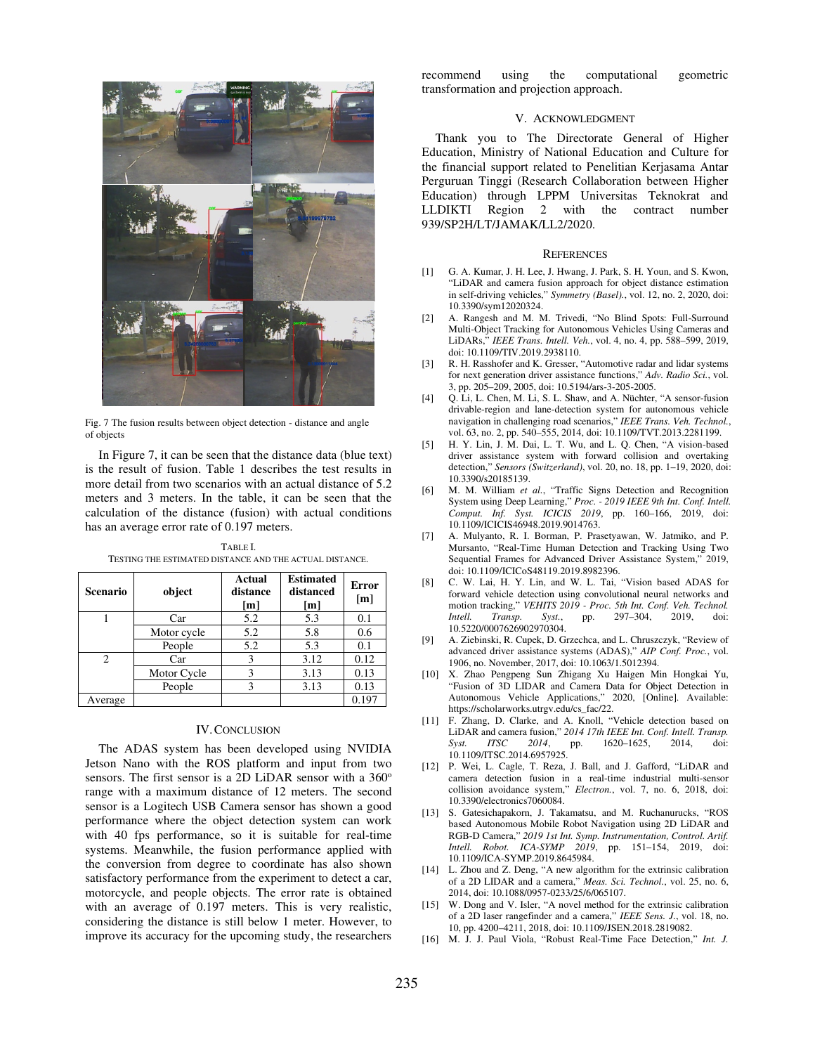

Fig. 7 The fusion results between object detection - distance and angle of objects

In Figure 7, it can be seen that the distance data (blue text) is the result of fusion. Table 1 describes the test results in more detail from two scenarios with an actual distance of 5.2 meters and 3 meters. In the table, it can be seen that the calculation of the distance (fusion) with actual conditions has an average error rate of 0.197 meters.

TABLE I. TESTING THE ESTIMATED DISTANCE AND THE ACTUAL DISTANCE.

| <b>Scenario</b> | object      | Actual<br>distance<br>[m] | <b>Estimated</b><br>distanced<br>[m] | <b>Error</b><br>[m] |
|-----------------|-------------|---------------------------|--------------------------------------|---------------------|
|                 | Car         | 5.2                       | 5.3                                  | 0.1                 |
|                 | Motor cycle | 5.2                       | 5.8                                  | 0.6                 |
|                 | People      | 5.2                       | 5.3                                  | 0.1                 |
| 2               | Car         | 3                         | 3.12                                 | 0.12                |
|                 | Motor Cycle | 3                         | 3.13                                 | 0.13                |
|                 | People      |                           | 3.13                                 | 0.13                |
| Average         |             |                           |                                      | 0.197               |

### IV.CONCLUSION

The ADAS system has been developed using NVIDIA Jetson Nano with the ROS platform and input from two sensors. The first sensor is a 2D LiDAR sensor with a  $360^\circ$ range with a maximum distance of 12 meters. The second sensor is a Logitech USB Camera sensor has shown a good performance where the object detection system can work with 40 fps performance, so it is suitable for real-time systems. Meanwhile, the fusion performance applied with the conversion from degree to coordinate has also shown satisfactory performance from the experiment to detect a car, motorcycle, and people objects. The error rate is obtained with an average of 0.197 meters. This is very realistic, considering the distance is still below 1 meter. However, to improve its accuracy for the upcoming study, the researchers

recommend using the computational geometric transformation and projection approach.

#### V. ACKNOWLEDGMENT

Thank you to The Directorate General of Higher Education, Ministry of National Education and Culture for the financial support related to Penelitian Kerjasama Antar Perguruan Tinggi (Research Collaboration between Higher Education) through LPPM Universitas Teknokrat and LLDIKTI Region 2 with the contract number 939/SP2H/LT/JAMAK/LL2/2020.

#### **REFERENCES**

- [1] G. A. Kumar, J. H. Lee, J. Hwang, J. Park, S. H. Youn, and S. Kwon, "LiDAR and camera fusion approach for object distance estimation in self-driving vehicles," *Symmetry (Basel).*, vol. 12, no. 2, 2020, doi: 10.3390/sym12020324.
- [2] A. Rangesh and M. M. Trivedi, "No Blind Spots: Full-Surround Multi-Object Tracking for Autonomous Vehicles Using Cameras and LiDARs," *IEEE Trans. Intell. Veh.*, vol. 4, no. 4, pp. 588–599, 2019, doi: 10.1109/TIV.2019.2938110.
- [3] R. H. Rasshofer and K. Gresser, "Automotive radar and lidar systems for next generation driver assistance functions," *Adv. Radio Sci.*, vol. 3, pp. 205–209, 2005, doi: 10.5194/ars-3-205-2005.
- [4] Q. Li, L. Chen, M. Li, S. L. Shaw, and A. Nüchter, "A sensor-fusion drivable-region and lane-detection system for autonomous vehicle navigation in challenging road scenarios," *IEEE Trans. Veh. Technol.*, vol. 63, no. 2, pp. 540–555, 2014, doi: 10.1109/TVT.2013.2281199.
- [5] H. Y. Lin, J. M. Dai, L. T. Wu, and L. Q. Chen, "A vision-based driver assistance system with forward collision and overtaking detection," *Sensors (Switzerland)*, vol. 20, no. 18, pp. 1–19, 2020, doi: 10.3390/s20185139.
- [6] M. M. William *et al.*, "Traffic Signs Detection and Recognition System using Deep Learning," *Proc. - 2019 IEEE 9th Int. Conf. Intell. Comput. Inf. Syst. ICICIS 2019*, pp. 160–166, 2019, doi: 10.1109/ICICIS46948.2019.9014763.
- [7] A. Mulyanto, R. I. Borman, P. Prasetyawan, W. Jatmiko, and P. Mursanto, "Real-Time Human Detection and Tracking Using Two Sequential Frames for Advanced Driver Assistance System," 2019, doi: 10.1109/ICICoS48119.2019.8982396.
- [8] C. W. Lai, H. Y. Lin, and W. L. Tai, "Vision based ADAS for forward vehicle detection using convolutional neural networks and motion tracking," *VEHITS 2019 - Proc. 5th Int. Conf. Veh. Technol. Intell. Transp. Syst.*, pp. 297–304, 2019, doi: 10.5220/0007626902970304.
- [9] A. Ziebinski, R. Cupek, D. Grzechca, and L. Chruszczyk, "Review of advanced driver assistance systems (ADAS)," *AIP Conf. Proc.*, vol. 1906, no. November, 2017, doi: 10.1063/1.5012394.
- [10] X. Zhao Pengpeng Sun Zhigang Xu Haigen Min Hongkai Yu, "Fusion of 3D LIDAR and Camera Data for Object Detection in Autonomous Vehicle Applications," 2020, [Online]. Available: https://scholarworks.utrgv.edu/cs\_fac/22.
- [11] F. Zhang, D. Clarke, and A. Knoll, "Vehicle detection based on LiDAR and camera fusion," *2014 17th IEEE Int. Conf. Intell. Transp. Syst. ITSC 2014*, pp. 1620–1625, 2014, doi: 10.1109/ITSC.2014.6957925.
- [12] P. Wei, L. Cagle, T. Reza, J. Ball, and J. Gafford, "LiDAR and camera detection fusion in a real-time industrial multi-sensor collision avoidance system," *Electron.*, vol. 7, no. 6, 2018, doi: 10.3390/electronics7060084.
- [13] S. Gatesichapakorn, J. Takamatsu, and M. Ruchanurucks, "ROS based Autonomous Mobile Robot Navigation using 2D LiDAR and RGB-D Camera," *2019 1st Int. Symp. Instrumentation, Control. Artif. Intell. Robot. ICA-SYMP 2019*, pp. 151–154, 2019, doi: 10.1109/ICA-SYMP.2019.8645984.
- [14] L. Zhou and Z. Deng, "A new algorithm for the extrinsic calibration of a 2D LIDAR and a camera," *Meas. Sci. Technol.*, vol. 25, no. 6, 2014, doi: 10.1088/0957-0233/25/6/065107.
- [15] W. Dong and V. Isler, "A novel method for the extrinsic calibration of a 2D laser rangefinder and a camera," *IEEE Sens. J.*, vol. 18, no. 10, pp. 4200–4211, 2018, doi: 10.1109/JSEN.2018.2819082.
- [16] M. J. J. Paul Viola, "Robust Real-Time Face Detection," *Int. J.*